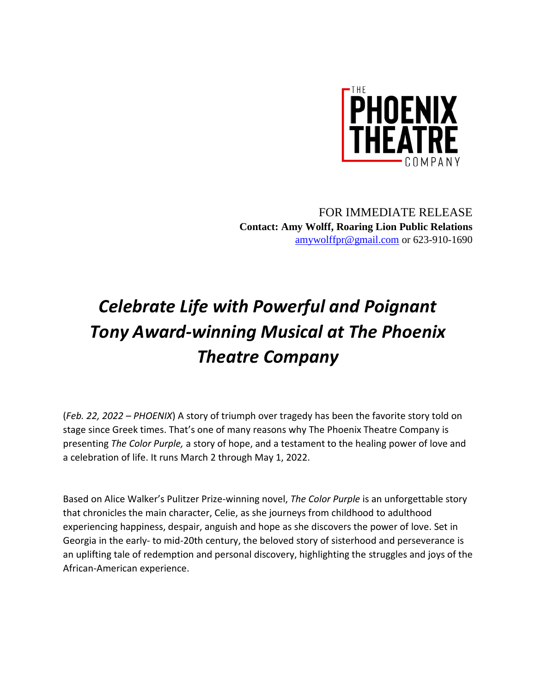

FOR IMMEDIATE RELEASE **Contact: Amy Wolff, Roaring Lion Public Relations** [amywolffpr@gmail.com](mailto:amywolffpr@gmail.com) or 623-910-1690

## *Celebrate Life with Powerful and Poignant Tony Award-winning Musical at The Phoenix Theatre Company*

(*Feb. 22, 2022 – PHOENIX*) A story of triumph over tragedy has been the favorite story told on stage since Greek times. That's one of many reasons why The Phoenix Theatre Company is presenting *The Color Purple,* a story of hope, and a testament to the healing power of love and a celebration of life. It runs March 2 through May 1, 2022.

Based on Alice Walker's Pulitzer Prize-winning novel, *The Color Purple* is an unforgettable story that chronicles the main character, Celie, as she journeys from childhood to adulthood experiencing happiness, despair, anguish and hope as she discovers the power of love. Set in Georgia in the early- to mid-20th century, the beloved story of sisterhood and perseverance is an uplifting tale of redemption and personal discovery, highlighting the struggles and joys of the African-American experience.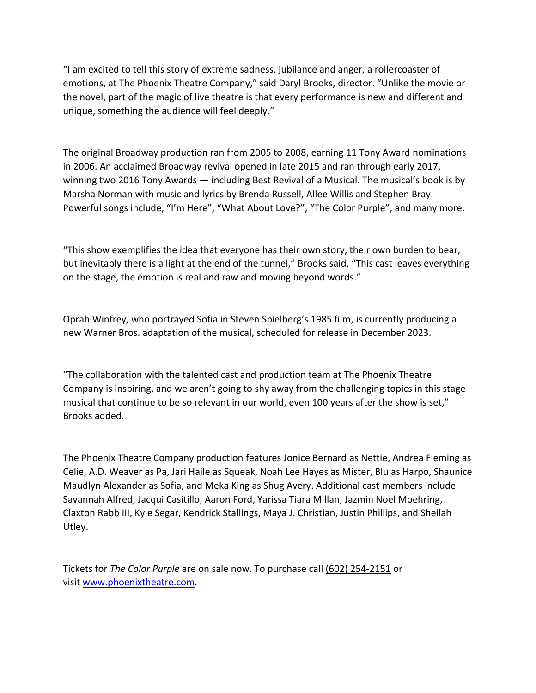"I am excited to tell this story of extreme sadness, jubilance and anger, a rollercoaster of emotions, at The Phoenix Theatre Company," said Daryl Brooks, director. "Unlike the movie or the novel, part of the magic of live theatre is that every performance is new and different and unique, something the audience will feel deeply."

The original Broadway production ran from 2005 to 2008, earning 11 Tony Award nominations in 2006. An acclaimed Broadway revival opened in late 2015 and ran through early 2017, winning two 2016 Tony Awards — including Best Revival of a Musical. The musical's book is by Marsha Norman with music and lyrics by Brenda Russell, Allee Willis and Stephen Bray. Powerful songs include, "I'm Here", "What About Love?", "The Color Purple", and many more.

"This show exemplifies the idea that everyone has their own story, their own burden to bear, but inevitably there is a light at the end of the tunnel," Brooks said. "This cast leaves everything on the stage, the emotion is real and raw and moving beyond words."

Oprah Winfrey, who portrayed Sofia in Steven Spielberg's 1985 film, is currently producing a new Warner Bros. adaptation of the musical, scheduled for release in December 2023.

"The collaboration with the talented cast and production team at The Phoenix Theatre Company is inspiring, and we aren't going to shy away from the challenging topics in this stage musical that continue to be so relevant in our world, even 100 years after the show is set," Brooks added.

The Phoenix Theatre Company production features Jonice Bernard as Nettie, Andrea Fleming as Celie, A.D. Weaver as Pa, Jari Haile as Squeak, Noah Lee Hayes as Mister, Blu as Harpo, Shaunice Maudlyn Alexander as Sofia, and Meka King as Shug Avery. Additional cast members include Savannah Alfred, Jacqui Casitillo, Aaron Ford, Yarissa Tiara Millan, Jazmin Noel Moehring, Claxton Rabb III, Kyle Segar, Kendrick Stallings, Maya J. Christian, Justin Phillips, and Sheilah Utley.

Tickets for *The Color Purple* are on sale now. To purchase call (602) 254-2151 or visit [www.phoenixtheatre.com.](https://urldefense.proofpoint.com/v2/url?u=https-3A__nam04.safelinks.protection.outlook.com_-3Furl-3Dhttps-253A-252F-252Furldefense.proofpoint.com-252Fv2-252Furl-253Fu-253Dhttp-2D3A-5F-5Fwww.phoenixtheatre.com-5F-2526d-253DDwMFaQ-2526c-253Duw6TLu4hwhHdiGJOgwcWD4AjKQx6zvFcGEsbfiY9-2DEI-2526r-253DeZMqQDp9ZQUI-2DOSDSomdL2TvAgrE-2DJddclE5m9ZjdwU-2526m-253DI1lt8Vw9-5FRWJi-5FBK-2DFGT6igIAnL-2DN5HUMWljflSQWww-2526s-253DmXWPyvO4jI-2DqjE1yODGYfsoKJcepAvvVOT7E-2DruSeuA-2526e-253D-26data-3D04-257C01-257CJOtoole-254012news.com-257Cd0cf4e866a304f02957808d952db46b2-257Cccd8a79b7268413b878971f8b6f4c0df-257C1-257C0-257C637631924004766814-257CUnknown-257CTWFpbGZsb3d8eyJWIjoiMC4wLjAwMDAiLCJQIjoiV2luMzIiLCJBTiI6Ik1haWwiLCJXVCI6Mn0-253D-257C1000-26sdata-3DsHuQpad8yuecgfu5eEWuAquBnZtzEeE4e63rTVHLtwE-253D-26reserved-3D0&d=DwMFAg&c=uw6TLu4hwhHdiGJOgwcWD4AjKQx6zvFcGEsbfiY9-EI&r=eZMqQDp9ZQUI-OSDSomdL143yV8MYoDJoFbj3Ru4Q4c&m=VXyAUMdRznhMF-fk0rM742ksTgLf954-drhWkDQBp69WURC-LWywQaqOZcSTU4t3&s=2oztGDgEgjWQE24vjv0WpCW1QOB6gLAETFhLUOdWJQk&e=)